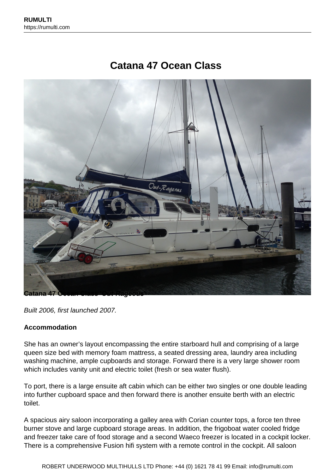# **Catana 47 Ocean Class**



Built 2006, first launched 2007.

#### **Accommodation**

She has an owner's layout encompassing the entire starboard hull and comprising of a large queen size bed with memory foam mattress, a seated dressing area, laundry area including washing machine, ample cupboards and storage. Forward there is a very large shower room which includes vanity unit and electric toilet (fresh or sea water flush).

To port, there is a large ensuite aft cabin which can be either two singles or one double leading into further cupboard space and then forward there is another ensuite berth with an electric toilet.

A spacious airy saloon incorporating a galley area with Corian counter tops, a force ten three burner stove and large cupboard storage areas. In addition, the frigoboat water cooled fridge and freezer take care of food storage and a second Waeco freezer is located in a cockpit locker. There is a comprehensive Fusion hifi system with a remote control in the cockpit. All saloon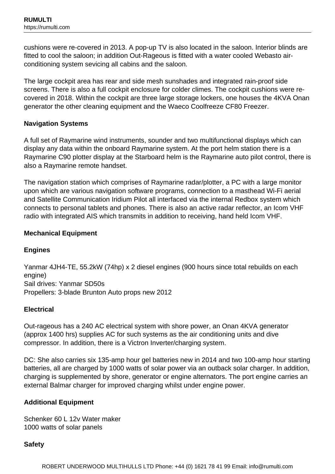cushions were re-covered in 2013. A pop-up TV is also located in the saloon. Interior blinds are fitted to cool the saloon; in addition Out-Rageous is fitted with a water cooled Webasto airconditioning system sevicing all cabins and the saloon.

The large cockpit area has rear and side mesh sunshades and integrated rain-proof side screens. There is also a full cockpit enclosure for colder climes. The cockpit cushions were recovered in 2018. Within the cockpit are three large storage lockers, one houses the 4KVA Onan generator the other cleaning equipment and the Waeco Coolfreeze CF80 Freezer.

# **Navigation Systems**

A full set of Raymarine wind instruments, sounder and two multifunctional displays which can display any data within the onboard Raymarine system. At the port helm station there is a Raymarine C90 plotter display at the Starboard helm is the Raymarine auto pilot control, there is also a Raymarine remote handset.

The navigation station which comprises of Raymarine radar/plotter, a PC with a large monitor upon which are various navigation software programs, connection to a masthead Wi-Fi aerial and Satellite Communication Iridium Pilot all interfaced via the internal Redbox system which connects to personal tablets and phones. There is also an active radar reflector, an Icom VHF radio with integrated AIS which transmits in addition to receiving, hand held Icom VHF.

# **Mechanical Equipment**

# **Engines**

Yanmar 4JH4-TE, 55.2kW (74hp) x 2 diesel engines (900 hours since total rebuilds on each engine) Sail drives: Yanmar SD50s Propellers: 3-blade Brunton Auto props new 2012

# **Electrical**

Out-rageous has a 240 AC electrical system with shore power, an Onan 4KVA generator (approx 1400 hrs) supplies AC for such systems as the air conditioning units and dive compressor. In addition, there is a Victron Inverter/charging system.

DC: She also carries six 135-amp hour gel batteries new in 2014 and two 100-amp hour starting batteries, all are charged by 1000 watts of solar power via an outback solar charger. In addition, charging is supplemented by shore, generator or engine alternators. The port engine carries an external Balmar charger for improved charging whilst under engine power.

# **Additional Equipment**

Schenker 60 L 12v Water maker 1000 watts of solar panels

**Safety**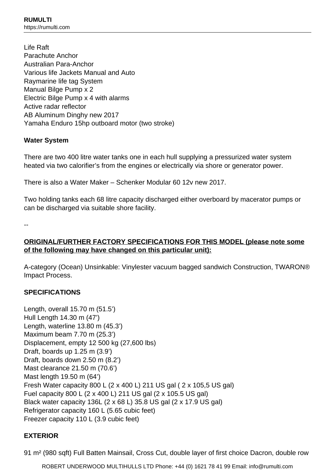Life Raft Parachute Anchor Australian Para-Anchor Various life Jackets Manual and Auto Raymarine life tag System Manual Bilge Pump x 2 Electric Bilge Pump x 4 with alarms Active radar reflector AB Aluminum Dinghy new 2017 Yamaha Enduro 15hp outboard motor (two stroke)

# **Water System**

There are two 400 litre water tanks one in each hull supplying a pressurized water system heated via two calorifier's from the engines or electrically via shore or generator power.

There is also a Water Maker – Schenker Modular 60 12v new 2017.

Two holding tanks each 68 litre capacity discharged either overboard by macerator pumps or can be discharged via suitable shore facility.

--

# **ORIGINAL/FURTHER FACTORY SPECIFICATIONS FOR THIS MODEL (please note some of the following may have changed on this particular unit):**

A-category (Ocean) Unsinkable: Vinylester vacuum bagged sandwich Construction, TWARON® Impact Process.

# **SPECIFICATIONS**

Length, overall 15.70 m (51.5') Hull Length 14.30 m (47') Length, waterline 13.80 m (45.3') Maximum beam 7.70 m (25.3') Displacement, empty 12 500 kg (27,600 lbs) Draft, boards up 1.25 m (3.9') Draft, boards down 2.50 m (8.2') Mast clearance 21.50 m (70.6') Mast length 19.50 m (64') Fresh Water capacity 800 L (2 x 400 L) 211 US gal ( 2 x 105,5 US gal) Fuel capacity 800 L (2 x 400 L) 211 US gal (2 x 105.5 US gal) Black water capacity 136L (2 x 68 L) 35.8 US gal (2 x 17.9 US gal) Refrigerator capacity 160 L (5.65 cubic feet) Freezer capacity 110 L (3.9 cubic feet)

# **EXTERIOR**

91 m² (980 sqft) Full Batten Mainsail, Cross Cut, double layer of first choice Dacron, double row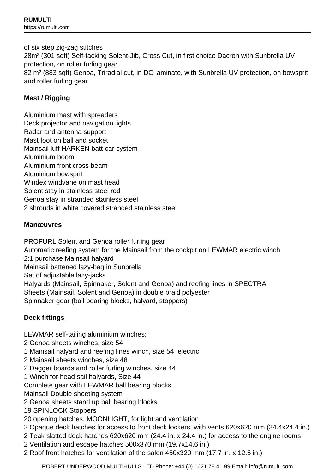of six step zig-zag stitches 28m² (301 sqft) Self-tacking Solent-Jib, Cross Cut, in first choice Dacron with Sunbrella UV protection, on roller furling gear 82 m² (883 sqft) Genoa, Triradial cut, in DC laminate, with Sunbrella UV protection, on bowsprit and roller furling gear

# **Mast / Rigging**

Aluminium mast with spreaders Deck projector and navigation lights Radar and antenna support Mast foot on ball and socket Mainsail luff HARKEN batt-car system Aluminium boom Aluminium front cross beam Aluminium bowsprit Windex windvane on mast head Solent stay in stainless steel rod Genoa stay in stranded stainless steel 2 shrouds in white covered stranded stainless steel

# **Manœuvres**

PROFURL Solent and Genoa roller furling gear Automatic reefing system for the Mainsail from the cockpit on LEWMAR electric winch 2:1 purchase Mainsail halyard Mainsail battened lazy-bag in Sunbrella Set of adjustable lazy-jacks Halyards (Mainsail, Spinnaker, Solent and Genoa) and reefing lines in SPECTRA Sheets (Mainsail, Solent and Genoa) in double braid polyester Spinnaker gear (ball bearing blocks, halyard, stoppers)

# **Deck fittings**

LEWMAR self-tailing aluminium winches:

- 2 Genoa sheets winches, size 54
- 1 Mainsail halyard and reefing lines winch, size 54, electric
- 2 Mainsail sheets winches, size 48
- 2 Dagger boards and roller furling winches, size 44
- 1 Winch for head sail halyards, Size 44

Complete gear with LEWMAR ball bearing blocks

- Mainsail Double sheeting system
- 2 Genoa sheets stand up ball bearing blocks
- 19 SPINLOCK Stoppers
- 20 opening hatches, MOONLIGHT, for light and ventilation
- 2 Opaque deck hatches for access to front deck lockers, with vents 620x620 mm (24.4x24.4 in.)
- 2 Teak slatted deck hatches 620x620 mm (24.4 in. x 24.4 in.) for access to the engine rooms
- 2 Ventilation and escape hatches 500x370 mm (19.7x14.6 in.)
- 2 Roof front hatches for ventilation of the salon 450x320 mm (17.7 in. x 12.6 in.)

ROBERT UNDERWOOD MULTIHULLS LTD Phone: +44 (0) 1621 78 41 99 Email: info@rumulti.com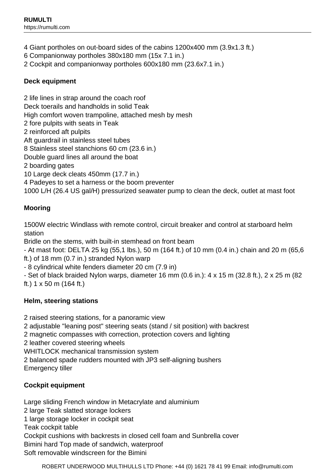- 4 Giant portholes on out-board sides of the cabins 1200x400 mm (3.9x1.3 ft.)
- 6 Companionway portholes 380x180 mm (15x 7.1 in.)
- 2 Cockpit and companionway portholes 600x180 mm (23.6x7.1 in.)

# **Deck equipment**

2 life lines in strap around the coach roof Deck toerails and handholds in solid Teak High comfort woven trampoline, attached mesh by mesh 2 fore pulpits with seats in Teak 2 reinforced aft pulpits Aft guardrail in stainless steel tubes 8 Stainless steel stanchions 60 cm (23.6 in.) Double guard lines all around the boat 2 boarding gates 10 Large deck cleats 450mm (17.7 in.) 4 Padeyes to set a harness or the boom preventer 1000 L/H (26.4 US gal/H) pressurized seawater pump to clean the deck, outlet at mast foot

# **Mooring**

1500W electric Windlass with remote control, circuit breaker and control at starboard helm station

Bridle on the stems, with built-in stemhead on front beam

- At mast foot: DELTA 25 kg (55,1 lbs.), 50 m (164 ft.) of 10 mm (0.4 in.) chain and 20 m (65,6 ft.) of 18 mm (0.7 in.) stranded Nylon warp

- 8 cylindrical white fenders diameter 20 cm (7.9 in)

- Set of black braided Nylon warps, diameter 16 mm (0.6 in.): 4 x 15 m (32.8 ft.), 2 x 25 m (82 ft.) 1 x 50 m (164 ft.)

# **Helm, steering stations**

2 raised steering stations, for a panoramic view

2 adjustable "leaning post" steering seats (stand / sit position) with backrest

2 magnetic compasses with correction, protection covers and lighting

2 leather covered steering wheels

WHITLOCK mechanical transmission system

2 balanced spade rudders mounted with JP3 self-aligning bushers Emergency tiller

# **Cockpit equipment**

Large sliding French window in Metacrylate and aluminium 2 large Teak slatted storage lockers 1 large storage locker in cockpit seat Teak cockpit table Cockpit cushions with backrests in closed cell foam and Sunbrella cover Bimini hard Top made of sandwich, waterproof Soft removable windscreen for the Bimini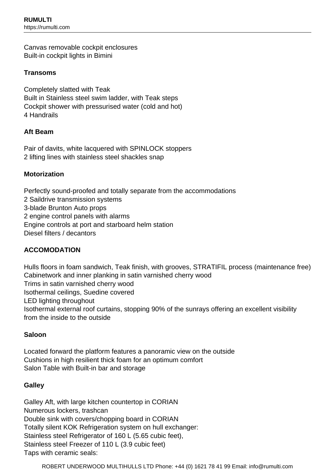Canvas removable cockpit enclosures Built-in cockpit lights in Bimini

### **Transoms**

Completely slatted with Teak Built in Stainless steel swim ladder, with Teak steps Cockpit shower with pressurised water (cold and hot) 4 Handrails

#### **Aft Beam**

Pair of davits, white lacquered with SPINLOCK stoppers 2 lifting lines with stainless steel shackles snap

#### **Motorization**

Perfectly sound-proofed and totally separate from the accommodations 2 Saildrive transmission systems

3-blade Brunton Auto props

2 engine control panels with alarms

Engine controls at port and starboard helm station

Diesel filters / decantors

# **ACCOMODATION**

Hulls floors in foam sandwich, Teak finish, with grooves, STRATIFIL process (maintenance free) Cabinetwork and inner planking in satin varnished cherry wood Trims in satin varnished cherry wood Isothermal ceilings, Suedine covered LED lighting throughout Isothermal external roof curtains, stopping 90% of the sunrays offering an excellent visibility from the inside to the outside

#### **Saloon**

Located forward the platform features a panoramic view on the outside Cushions in high resilient thick foam for an optimum comfort Salon Table with Built-in bar and storage

#### **Galley**

Galley Aft, with large kitchen countertop in CORIAN Numerous lockers, trashcan Double sink with covers/chopping board in CORIAN Totally silent KOK Refrigeration system on hull exchanger: Stainless steel Refrigerator of 160 L (5.65 cubic feet), Stainless steel Freezer of 110 L (3.9 cubic feet) Taps with ceramic seals: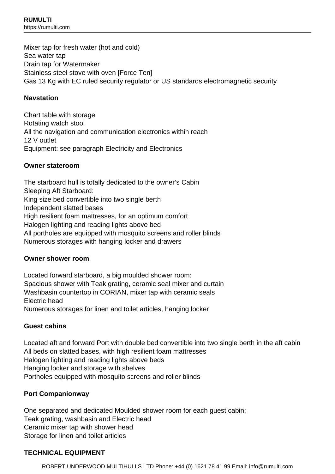Mixer tap for fresh water (hot and cold) Sea water tap Drain tap for Watermaker Stainless steel stove with oven [Force Ten] Gas 13 Kg with EC ruled security regulator or US standards electromagnetic security

# **Navstation**

Chart table with storage Rotating watch stool All the navigation and communication electronics within reach 12 V outlet Equipment: see paragraph Electricity and Electronics

#### **Owner stateroom**

The starboard hull is totally dedicated to the owner's Cabin Sleeping Aft Starboard: King size bed convertible into two single berth Independent slatted bases High resilient foam mattresses, for an optimum comfort Halogen lighting and reading lights above bed All portholes are equipped with mosquito screens and roller blinds Numerous storages with hanging locker and drawers

# **Owner shower room**

Located forward starboard, a big moulded shower room: Spacious shower with Teak grating, ceramic seal mixer and curtain Washbasin countertop in CORIAN, mixer tap with ceramic seals Electric head Numerous storages for linen and toilet articles, hanging locker

# **Guest cabins**

Located aft and forward Port with double bed convertible into two single berth in the aft cabin All beds on slatted bases, with high resilient foam mattresses Halogen lighting and reading lights above beds Hanging locker and storage with shelves Portholes equipped with mosquito screens and roller blinds

# **Port Companionway**

One separated and dedicated Moulded shower room for each guest cabin: Teak grating, washbasin and Electric head Ceramic mixer tap with shower head Storage for linen and toilet articles

#### **TECHNICAL EQUIPMENT**